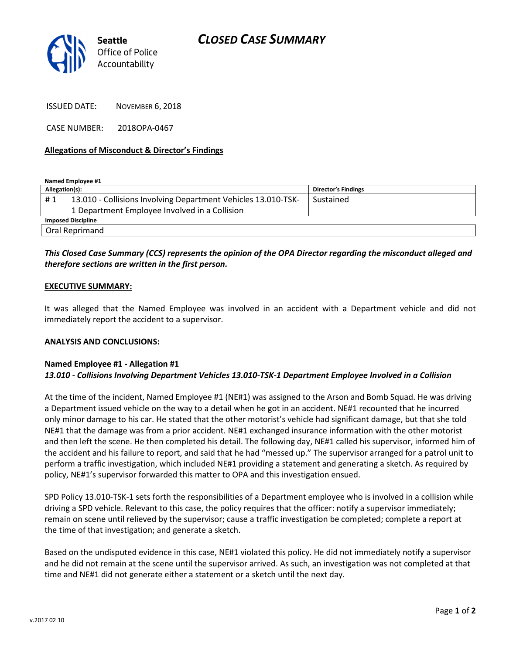

ISSUED DATE: NOVEMBER 6, 2018

CASE NUMBER: 2018OPA-0467

## Allegations of Misconduct & Director's Findings

Named Employee #1

| Allegation(s):            |                                                               | <b>Director's Findings</b> |
|---------------------------|---------------------------------------------------------------|----------------------------|
| #1                        | 13.010 - Collisions Involving Department Vehicles 13.010-TSK- | Sustained                  |
|                           | 1 Department Employee Involved in a Collision                 |                            |
| <b>Imposed Discipline</b> |                                                               |                            |
| Oral Reprimand            |                                                               |                            |

# This Closed Case Summary (CCS) represents the opinion of the OPA Director regarding the misconduct alleged and therefore sections are written in the first person.

## EXECUTIVE SUMMARY:

It was alleged that the Named Employee was involved in an accident with a Department vehicle and did not immediately report the accident to a supervisor.

#### ANALYSIS AND CONCLUSIONS:

#### Named Employee #1 - Allegation #1 13.010 - Collisions Involving Department Vehicles 13.010-TSK-1 Department Employee Involved in a Collision

At the time of the incident, Named Employee #1 (NE#1) was assigned to the Arson and Bomb Squad. He was driving a Department issued vehicle on the way to a detail when he got in an accident. NE#1 recounted that he incurred only minor damage to his car. He stated that the other motorist's vehicle had significant damage, but that she told NE#1 that the damage was from a prior accident. NE#1 exchanged insurance information with the other motorist and then left the scene. He then completed his detail. The following day, NE#1 called his supervisor, informed him of the accident and his failure to report, and said that he had "messed up." The supervisor arranged for a patrol unit to perform a traffic investigation, which included NE#1 providing a statement and generating a sketch. As required by policy, NE#1's supervisor forwarded this matter to OPA and this investigation ensued.

SPD Policy 13.010-TSK-1 sets forth the responsibilities of a Department employee who is involved in a collision while driving a SPD vehicle. Relevant to this case, the policy requires that the officer: notify a supervisor immediately; remain on scene until relieved by the supervisor; cause a traffic investigation be completed; complete a report at the time of that investigation; and generate a sketch.

Based on the undisputed evidence in this case, NE#1 violated this policy. He did not immediately notify a supervisor and he did not remain at the scene until the supervisor arrived. As such, an investigation was not completed at that time and NE#1 did not generate either a statement or a sketch until the next day.